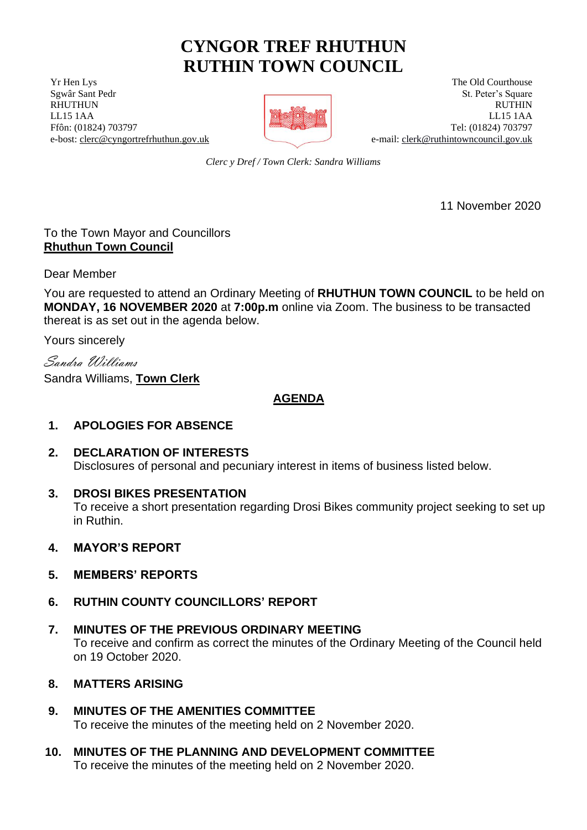# **CYNGOR TREF RHUTHUN RUTHIN TOWN COUNCIL**

**The Old Courthouse** The Old Courthouse The Old Courthouse The Old Courthouse



Serval Sant Pedr St. Peter's Square RHUTHUN RUTHIN RUTHIN RUTHIN RUTHIN LL15 1AA LL15 1AA Ffôn: (01824) 703797 Tel: (01824) 703797 e-bost: [clerc@cyngortrefrhuthun.gov.uk](mailto:clerc@cyngortrefrhuthun.gov.uk) e-mail[: clerk@ruthintowncouncil.gov.uk](mailto:clerk@ruthintowncouncil.gov.uk)

*Clerc y Dref / Town Clerk: Sandra Williams*

11 November 2020

# To the Town Mayor and Councillors **Rhuthun Town Council**

Dear Member

You are requested to attend an Ordinary Meeting of **RHUTHUN TOWN COUNCIL** to be held on **MONDAY, 16 NOVEMBER 2020** at **7:00p.m** online via Zoom. The business to be transacted thereat is as set out in the agenda below.

Yours sincerely

Sandra Williams

Sandra Williams, **Town Clerk**

**AGENDA**

# **1. APOLOGIES FOR ABSENCE**

- **2. DECLARATION OF INTERESTS** Disclosures of personal and pecuniary interest in items of business listed below.
- **3. DROSI BIKES PRESENTATION**

To receive a short presentation regarding Drosi Bikes community project seeking to set up in Ruthin.

- **4. MAYOR'S REPORT**
- **5. MEMBERS' REPORTS**
- **6. RUTHIN COUNTY COUNCILLORS' REPORT**
- **7. MINUTES OF THE PREVIOUS ORDINARY MEETING** To receive and confirm as correct the minutes of the Ordinary Meeting of the Council held on 19 October 2020.
- **8. MATTERS ARISING**
- **9. MINUTES OF THE AMENITIES COMMITTEE** To receive the minutes of the meeting held on 2 November 2020.
- **10. MINUTES OF THE PLANNING AND DEVELOPMENT COMMITTEE** To receive the minutes of the meeting held on 2 November 2020.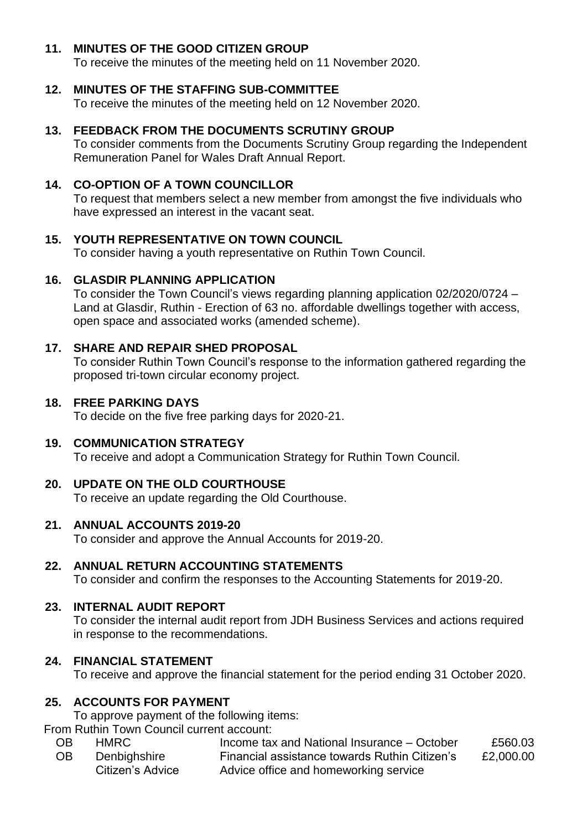# **11. MINUTES OF THE GOOD CITIZEN GROUP**

To receive the minutes of the meeting held on 11 November 2020.

## **12. MINUTES OF THE STAFFING SUB-COMMITTEE**

To receive the minutes of the meeting held on 12 November 2020.

## **13. FEEDBACK FROM THE DOCUMENTS SCRUTINY GROUP**

To consider comments from the Documents Scrutiny Group regarding the Independent Remuneration Panel for Wales Draft Annual Report.

## **14. CO-OPTION OF A TOWN COUNCILLOR**

To request that members select a new member from amongst the five individuals who have expressed an interest in the vacant seat.

#### **15. YOUTH REPRESENTATIVE ON TOWN COUNCIL**

To consider having a youth representative on Ruthin Town Council.

#### **16. GLASDIR PLANNING APPLICATION**

To consider the Town Council's views regarding planning application 02/2020/0724 – Land at Glasdir, Ruthin - Erection of 63 no. affordable dwellings together with access, open space and associated works (amended scheme).

#### **17. SHARE AND REPAIR SHED PROPOSAL**

To consider Ruthin Town Council's response to the information gathered regarding the proposed tri-town circular economy project.

#### **18. FREE PARKING DAYS**

To decide on the five free parking days for 2020-21.

#### **19. COMMUNICATION STRATEGY**

To receive and adopt a Communication Strategy for Ruthin Town Council.

## **20. UPDATE ON THE OLD COURTHOUSE**

To receive an update regarding the Old Courthouse.

## **21. ANNUAL ACCOUNTS 2019-20**

To consider and approve the Annual Accounts for 2019-20.

#### **22. ANNUAL RETURN ACCOUNTING STATEMENTS**

To consider and confirm the responses to the Accounting Statements for 2019-20.

#### **23. INTERNAL AUDIT REPORT**

To consider the internal audit report from JDH Business Services and actions required in response to the recommendations.

#### **24. FINANCIAL STATEMENT**

To receive and approve the financial statement for the period ending 31 October 2020.

#### **25. ACCOUNTS FOR PAYMENT**

To approve payment of the following items:

From Ruthin Town Council current account:

OB HMRC Income tax and National Insurance – October £560.03 OB Denbighshire Citizen's Advice Financial assistance towards Ruthin Citizen's Advice office and homeworking service £2,000.00